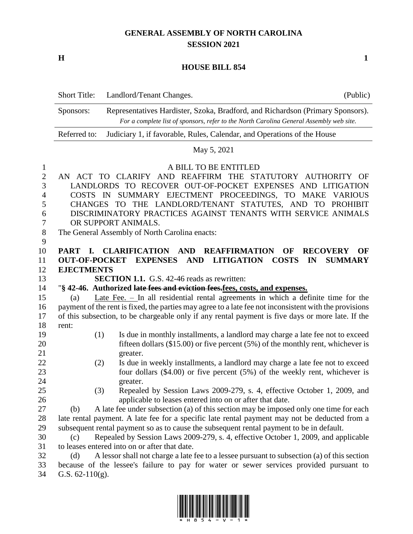## **GENERAL ASSEMBLY OF NORTH CAROLINA SESSION 2021**

**H 1**

## **HOUSE BILL 854**

|                                                     | <b>Short Title:</b>                    | Landlord/Tenant Changes.<br>(Public)                                                                                                                                                                                                                                                                                                                                                                                           |
|-----------------------------------------------------|----------------------------------------|--------------------------------------------------------------------------------------------------------------------------------------------------------------------------------------------------------------------------------------------------------------------------------------------------------------------------------------------------------------------------------------------------------------------------------|
|                                                     | Sponsors:                              | Representatives Hardister, Szoka, Bradford, and Richardson (Primary Sponsors).<br>For a complete list of sponsors, refer to the North Carolina General Assembly web site.                                                                                                                                                                                                                                                      |
|                                                     | Referred to:                           | Judiciary 1, if favorable, Rules, Calendar, and Operations of the House                                                                                                                                                                                                                                                                                                                                                        |
|                                                     |                                        | May 5, 2021                                                                                                                                                                                                                                                                                                                                                                                                                    |
| $\mathbf{1}$<br>2<br>3<br>4<br>5<br>6<br>7<br>$8\,$ |                                        | A BILL TO BE ENTITLED<br>AN ACT TO CLARIFY AND REAFFIRM THE STATUTORY AUTHORITY<br>OF<br>LANDLORDS TO RECOVER OUT-OF-POCKET EXPENSES AND LITIGATION<br>COSTS IN SUMMARY EJECTMENT PROCEEDINGS, TO MAKE VARIOUS<br>CHANGES TO THE LANDLORD/TENANT STATUTES, AND TO<br><b>PROHIBIT</b><br>DISCRIMINATORY PRACTICES AGAINST TENANTS WITH SERVICE ANIMALS<br>OR SUPPORT ANIMALS.<br>The General Assembly of North Carolina enacts: |
| 9<br>10<br>11<br>12                                 | <b>PART</b><br>I.<br><b>EJECTMENTS</b> | <b>CLARIFICATION</b><br><b>AND</b><br><b>REAFFIRMATION</b><br><b>RECOVERY</b><br>OF<br>OF<br><b>COSTS</b><br><b>OUT-OF-POCKET</b><br><b>EXPENSES</b><br><b>AND</b><br><b>LITIGATION</b><br>IN<br><b>SUMMARY</b>                                                                                                                                                                                                                |
| 13                                                  |                                        | <b>SECTION 1.1.</b> G.S. 42-46 reads as rewritten:                                                                                                                                                                                                                                                                                                                                                                             |
| 14                                                  |                                        | "§ 42-46. Authorized late fees and eviction fees.fees, costs, and expenses.                                                                                                                                                                                                                                                                                                                                                    |
| 15                                                  | (a)                                    | <u>Late Fee. -</u> In all residential rental agreements in which a definite time for the                                                                                                                                                                                                                                                                                                                                       |
| 16                                                  |                                        | payment of the rent is fixed, the parties may agree to a late fee not inconsistent with the provisions                                                                                                                                                                                                                                                                                                                         |
| 17                                                  |                                        | of this subsection, to be chargeable only if any rental payment is five days or more late. If the                                                                                                                                                                                                                                                                                                                              |
| 18                                                  | rent:                                  |                                                                                                                                                                                                                                                                                                                                                                                                                                |
| 19<br>20                                            |                                        | (1)<br>Is due in monthly installments, a landlord may charge a late fee not to exceed<br>fifteen dollars $(\$15.00)$ or five percent $(5%)$ of the monthly rent, whichever is                                                                                                                                                                                                                                                  |
| 21                                                  |                                        | greater.                                                                                                                                                                                                                                                                                                                                                                                                                       |
| 22                                                  |                                        | Is due in weekly installments, a landlord may charge a late fee not to exceed<br>(2)                                                                                                                                                                                                                                                                                                                                           |
| 23                                                  |                                        | four dollars $(\$4.00)$ or five percent $(5%)$ of the weekly rent, whichever is                                                                                                                                                                                                                                                                                                                                                |
| 24                                                  |                                        | greater.                                                                                                                                                                                                                                                                                                                                                                                                                       |
| 25                                                  |                                        | (3)<br>Repealed by Session Laws 2009-279, s. 4, effective October 1, 2009, and                                                                                                                                                                                                                                                                                                                                                 |
| 26                                                  |                                        | applicable to leases entered into on or after that date.                                                                                                                                                                                                                                                                                                                                                                       |
| 27                                                  | (b)                                    | A late fee under subsection (a) of this section may be imposed only one time for each                                                                                                                                                                                                                                                                                                                                          |
| 28                                                  |                                        | late rental payment. A late fee for a specific late rental payment may not be deducted from a                                                                                                                                                                                                                                                                                                                                  |
| 29                                                  |                                        | subsequent rental payment so as to cause the subsequent rental payment to be in default.                                                                                                                                                                                                                                                                                                                                       |
| 30                                                  | (c)                                    | Repealed by Session Laws 2009-279, s. 4, effective October 1, 2009, and applicable                                                                                                                                                                                                                                                                                                                                             |
| 31                                                  |                                        | to leases entered into on or after that date.                                                                                                                                                                                                                                                                                                                                                                                  |
| 32                                                  | (d)                                    | A lessor shall not charge a late fee to a lessee pursuant to subsection (a) of this section                                                                                                                                                                                                                                                                                                                                    |

 because of the lessee's failure to pay for water or sewer services provided pursuant to G.S. 62-110(g).

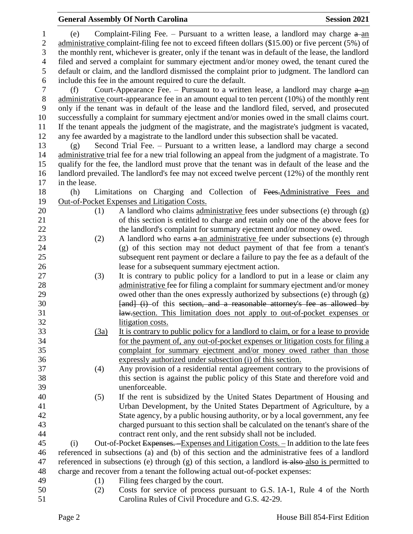## **General Assembly Of North Carolina Session 2021**

| $\mathbf{1}$   | (e)           |                                                                                            | Complaint-Filing Fee. – Pursuant to a written lease, a landlord may charge $a$ -an                   |  |  |
|----------------|---------------|--------------------------------------------------------------------------------------------|------------------------------------------------------------------------------------------------------|--|--|
| $\mathbf{2}$   |               |                                                                                            | administrative complaint-filing fee not to exceed fifteen dollars (\$15.00) or five percent (5%) of  |  |  |
| 3              |               |                                                                                            | the monthly rent, whichever is greater, only if the tenant was in default of the lease, the landlord |  |  |
| $\overline{4}$ |               | filed and served a complaint for summary ejectment and/or money owed, the tenant cured the |                                                                                                      |  |  |
| 5              |               |                                                                                            | default or claim, and the landlord dismissed the complaint prior to judgment. The landlord can       |  |  |
| 6              |               | include this fee in the amount required to cure the default.                               |                                                                                                      |  |  |
| 7              | (f)           |                                                                                            | Court-Appearance Fee. – Pursuant to a written lease, a landlord may charge $a$ -an                   |  |  |
| $8\,$          |               |                                                                                            | administrative court-appearance fee in an amount equal to ten percent (10%) of the monthly rent      |  |  |
| 9              |               |                                                                                            | only if the tenant was in default of the lease and the landlord filed, served, and prosecuted        |  |  |
| 10             |               |                                                                                            | successfully a complaint for summary ejectment and/or monies owed in the small claims court.         |  |  |
| 11             |               |                                                                                            | If the tenant appeals the judgment of the magistrate, and the magistrate's judgment is vacated,      |  |  |
| 12             |               |                                                                                            | any fee awarded by a magistrate to the landlord under this subsection shall be vacated.              |  |  |
| 13             | (g)           |                                                                                            | Second Trial Fee. – Pursuant to a written lease, a landlord may charge a second                      |  |  |
| 14             |               |                                                                                            | administrative trial fee for a new trial following an appeal from the judgment of a magistrate. To   |  |  |
| 15             |               |                                                                                            | qualify for the fee, the landlord must prove that the tenant was in default of the lease and the     |  |  |
| 16             |               |                                                                                            | landlord prevailed. The landlord's fee may not exceed twelve percent (12%) of the monthly rent       |  |  |
| 17             | in the lease. |                                                                                            |                                                                                                      |  |  |
| 18             | (h)           |                                                                                            | Limitations on Charging and Collection of Fees. Administrative Fees and                              |  |  |
| 19             |               |                                                                                            | Out-of-Pocket Expenses and Litigation Costs.                                                         |  |  |
| 20             |               | (1)                                                                                        | A landlord who claims administrative fees under subsections (e) through (g)                          |  |  |
| 21             |               |                                                                                            | of this section is entitled to charge and retain only one of the above fees for                      |  |  |
| 22             |               |                                                                                            | the landlord's complaint for summary ejectment and/or money owed.                                    |  |  |
| 23             |               | (2)                                                                                        | A landlord who earns a an administrative fee under subsections (e) through                           |  |  |
| 24             |               |                                                                                            | (g) of this section may not deduct payment of that fee from a tenant's                               |  |  |
| 25             |               |                                                                                            | subsequent rent payment or declare a failure to pay the fee as a default of the                      |  |  |
| 26             |               |                                                                                            | lease for a subsequent summary ejectment action.                                                     |  |  |
| 27             |               | (3)                                                                                        | It is contrary to public policy for a landlord to put in a lease or claim any                        |  |  |
| 28             |               |                                                                                            | administrative fee for filing a complaint for summary ejectment and/or money                         |  |  |
| 29             |               |                                                                                            | owed other than the ones expressly authorized by subsections (e) through (g)                         |  |  |
| 30             |               |                                                                                            | [and] (i) of this section, and a reasonable attorney's fee as allowed by                             |  |  |
| 31             |               |                                                                                            | law-section. This limitation does not apply to out-of-pocket expenses or                             |  |  |
| 32             |               |                                                                                            | litigation costs.                                                                                    |  |  |
| 33             |               | (3a)                                                                                       | It is contrary to public policy for a landlord to claim, or for a lease to provide                   |  |  |
| 34             |               |                                                                                            | for the payment of, any out-of-pocket expenses or litigation costs for filing a                      |  |  |
| 35             |               |                                                                                            | complaint for summary ejectment and/or money owed rather than those                                  |  |  |
| 36             |               |                                                                                            | expressly authorized under subsection (i) of this section.                                           |  |  |
| 37             |               | (4)                                                                                        | Any provision of a residential rental agreement contrary to the provisions of                        |  |  |
| 38             |               |                                                                                            | this section is against the public policy of this State and therefore void and                       |  |  |
| 39             |               |                                                                                            | unenforceable.                                                                                       |  |  |
| 40             |               | (5)                                                                                        | If the rent is subsidized by the United States Department of Housing and                             |  |  |
| 41             |               |                                                                                            | Urban Development, by the United States Department of Agriculture, by a                              |  |  |
| 42             |               |                                                                                            | State agency, by a public housing authority, or by a local government, any fee                       |  |  |
| 43             |               |                                                                                            | charged pursuant to this section shall be calculated on the tenant's share of the                    |  |  |
| 44             |               |                                                                                            | contract rent only, and the rent subsidy shall not be included.                                      |  |  |
| 45             | (i)           |                                                                                            | Out-of-Pocket Expenses. Expenses and Litigation Costs. - In addition to the late fees                |  |  |
| 46             |               |                                                                                            | referenced in subsections (a) and (b) of this section and the administrative fees of a landlord      |  |  |
| 47             |               |                                                                                            | referenced in subsections (e) through (g) of this section, a landlord is also also is permitted to   |  |  |
| 48             |               |                                                                                            | charge and recover from a tenant the following actual out-of-pocket expenses:                        |  |  |
| 49             |               | (1)                                                                                        | Filing fees charged by the court.                                                                    |  |  |
| 50             |               | (2)                                                                                        | Costs for service of process pursuant to G.S. 1A-1, Rule 4 of the North                              |  |  |
| 51             |               |                                                                                            | Carolina Rules of Civil Procedure and G.S. 42-29.                                                    |  |  |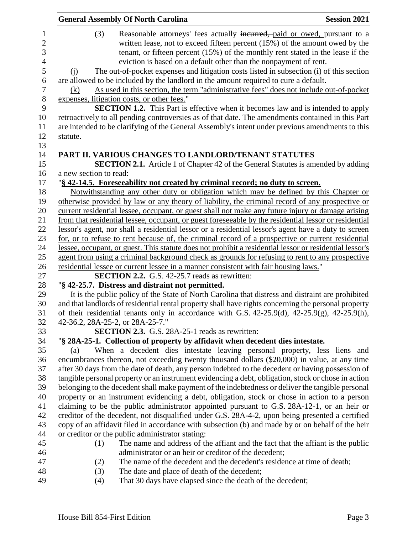|                        | <b>General Assembly Of North Carolina</b>                                                                                                                                                                                                                                                                                                                                                                                                                                                             | <b>Session 2021</b> |
|------------------------|-------------------------------------------------------------------------------------------------------------------------------------------------------------------------------------------------------------------------------------------------------------------------------------------------------------------------------------------------------------------------------------------------------------------------------------------------------------------------------------------------------|---------------------|
| (3)<br>(i)             | Reasonable attorneys' fees actually incurred, paid or owed, pursuant to a<br>written lease, not to exceed fifteen percent (15%) of the amount owed by the<br>tenant, or fifteen percent (15%) of the monthly rent stated in the lease if the<br>eviction is based on a default other than the nonpayment of rent.<br>The out-of-pocket expenses and litigation costs listed in subsection (i) of this section<br>are allowed to be included by the landlord in the amount required to cure a default. |                     |
| (k)                    | As used in this section, the term "administrative fees" does not include out-of-pocket                                                                                                                                                                                                                                                                                                                                                                                                                |                     |
|                        | expenses, litigation costs, or other fees."                                                                                                                                                                                                                                                                                                                                                                                                                                                           |                     |
|                        | <b>SECTION 1.2.</b> This Part is effective when it becomes law and is intended to apply<br>retroactively to all pending controversies as of that date. The amendments contained in this Part<br>are intended to be clarifying of the General Assembly's intent under previous amendments to this                                                                                                                                                                                                      |                     |
| statute.               |                                                                                                                                                                                                                                                                                                                                                                                                                                                                                                       |                     |
| a new section to read: | PART II. VARIOUS CHANGES TO LANDLORD/TENANT STATUTES<br><b>SECTION 2.1.</b> Article 1 of Chapter 42 of the General Statutes is amended by adding                                                                                                                                                                                                                                                                                                                                                      |                     |
|                        | "§ 42-14.5. Foreseeability not created by criminal record; no duty to screen.                                                                                                                                                                                                                                                                                                                                                                                                                         |                     |
|                        | Notwithstanding any other duty or obligation which may be defined by this Chapter or                                                                                                                                                                                                                                                                                                                                                                                                                  |                     |
|                        | otherwise provided by law or any theory of liability, the criminal record of any prospective or                                                                                                                                                                                                                                                                                                                                                                                                       |                     |
|                        | current residential lessee, occupant, or guest shall not make any future injury or damage arising                                                                                                                                                                                                                                                                                                                                                                                                     |                     |
|                        | from that residential lessee, occupant, or guest foreseeable by the residential lessor or residential                                                                                                                                                                                                                                                                                                                                                                                                 |                     |
|                        | lessor's agent, nor shall a residential lessor or a residential lessor's agent have a duty to screen                                                                                                                                                                                                                                                                                                                                                                                                  |                     |
|                        | for, or to refuse to rent because of, the criminal record of a prospective or current residential                                                                                                                                                                                                                                                                                                                                                                                                     |                     |
|                        | lessee, occupant, or guest. This statute does not prohibit a residential lessor or residential lessor's                                                                                                                                                                                                                                                                                                                                                                                               |                     |
|                        | agent from using a criminal background check as grounds for refusing to rent to any prospective                                                                                                                                                                                                                                                                                                                                                                                                       |                     |
|                        | residential lessee or current lessee in a manner consistent with fair housing laws."                                                                                                                                                                                                                                                                                                                                                                                                                  |                     |
|                        | <b>SECTION 2.2.</b> G.S. 42-25.7 reads as rewritten:                                                                                                                                                                                                                                                                                                                                                                                                                                                  |                     |
|                        | "§ 42-25.7. Distress and distraint not permitted.                                                                                                                                                                                                                                                                                                                                                                                                                                                     |                     |
|                        | It is the public policy of the State of North Carolina that distress and distraint are prohibited                                                                                                                                                                                                                                                                                                                                                                                                     |                     |
|                        | and that landlords of residential rental property shall have rights concerning the personal property                                                                                                                                                                                                                                                                                                                                                                                                  |                     |
|                        | of their residential tenants only in accordance with G.S. 42-25.9(d), 42-25.9(g), 42-25.9(h),                                                                                                                                                                                                                                                                                                                                                                                                         |                     |
|                        | 42-36.2, 28A-25-2, or 28A-25-7."                                                                                                                                                                                                                                                                                                                                                                                                                                                                      |                     |
|                        | <b>SECTION 2.3.</b> G.S. 28A-25-1 reads as rewritten:                                                                                                                                                                                                                                                                                                                                                                                                                                                 |                     |
|                        | "§ 28A-25-1. Collection of property by affidavit when decedent dies intestate.                                                                                                                                                                                                                                                                                                                                                                                                                        |                     |
| (a)                    | When a decedent dies intestate leaving personal property, less liens and                                                                                                                                                                                                                                                                                                                                                                                                                              |                     |
|                        | encumbrances thereon, not exceeding twenty thousand dollars (\$20,000) in value, at any time<br>after 30 days from the date of death, any person indebted to the decedent or having possession of                                                                                                                                                                                                                                                                                                     |                     |
|                        | tangible personal property or an instrument evidencing a debt, obligation, stock or chose in action                                                                                                                                                                                                                                                                                                                                                                                                   |                     |
|                        | belonging to the decedent shall make payment of the indebtedness or deliver the tangible personal                                                                                                                                                                                                                                                                                                                                                                                                     |                     |
|                        | property or an instrument evidencing a debt, obligation, stock or chose in action to a person                                                                                                                                                                                                                                                                                                                                                                                                         |                     |
|                        | claiming to be the public administrator appointed pursuant to G.S. 28A-12-1, or an heir or                                                                                                                                                                                                                                                                                                                                                                                                            |                     |
|                        | creditor of the decedent, not disqualified under G.S. 28A-4-2, upon being presented a certified                                                                                                                                                                                                                                                                                                                                                                                                       |                     |
|                        | copy of an affidavit filed in accordance with subsection (b) and made by or on behalf of the heir                                                                                                                                                                                                                                                                                                                                                                                                     |                     |
|                        | or creditor or the public administrator stating:                                                                                                                                                                                                                                                                                                                                                                                                                                                      |                     |
| (1)                    | The name and address of the affiant and the fact that the affiant is the public                                                                                                                                                                                                                                                                                                                                                                                                                       |                     |
|                        | administrator or an heir or creditor of the decedent;                                                                                                                                                                                                                                                                                                                                                                                                                                                 |                     |
| (2)                    | The name of the decedent and the decedent's residence at time of death;                                                                                                                                                                                                                                                                                                                                                                                                                               |                     |
| (3)                    | The date and place of death of the decedent;                                                                                                                                                                                                                                                                                                                                                                                                                                                          |                     |
|                        |                                                                                                                                                                                                                                                                                                                                                                                                                                                                                                       |                     |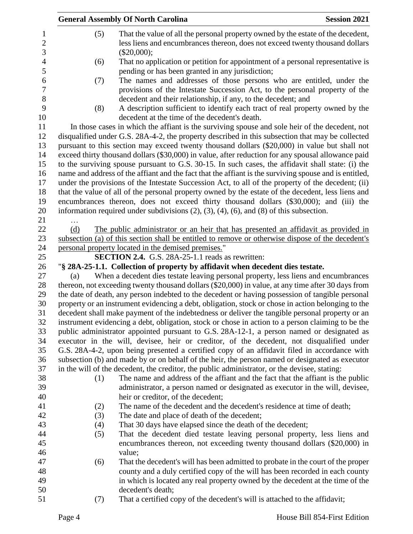|     | <b>General Assembly Of North Carolina</b>                                                                                                                                                                                                                                                              | <b>Session 2021</b>                                                           |
|-----|--------------------------------------------------------------------------------------------------------------------------------------------------------------------------------------------------------------------------------------------------------------------------------------------------------|-------------------------------------------------------------------------------|
| (5) | That the value of all the personal property owned by the estate of the decedent,<br>less liens and encumbrances thereon, does not exceed twenty thousand dollars<br>$(\$20,000);$                                                                                                                      |                                                                               |
| (6) | That no application or petition for appointment of a personal representative is                                                                                                                                                                                                                        |                                                                               |
| (7) | pending or has been granted in any jurisdiction;<br>The names and addresses of those persons who are entitled, under the<br>provisions of the Intestate Succession Act, to the personal property of the<br>decedent and their relationship, if any, to the decedent; and                               |                                                                               |
| (8) | A description sufficient to identify each tract of real property owned by the<br>decedent at the time of the decedent's death.                                                                                                                                                                         |                                                                               |
|     | In those cases in which the affiant is the surviving spouse and sole heir of the decedent, not<br>disqualified under G.S. 28A-4-2, the property described in this subsection that may be collected<br>pursuant to this section may exceed twenty thousand dollars (\$20,000) in value but shall not    |                                                                               |
|     | exceed thirty thousand dollars (\$30,000) in value, after reduction for any spousal allowance paid<br>to the surviving spouse pursuant to G.S. 30-15. In such cases, the affidavit shall state: (i) the                                                                                                |                                                                               |
|     | name and address of the affiant and the fact that the affiant is the surviving spouse and is entitled,<br>under the provisions of the Intestate Succession Act, to all of the property of the decedent; (ii)                                                                                           |                                                                               |
|     | that the value of all of the personal property owned by the estate of the decedent, less liens and<br>encumbrances thereon, does not exceed thirty thousand dollars (\$30,000); and (iii) the<br>information required under subdivisions $(2)$ , $(3)$ , $(4)$ , $(6)$ , and $(8)$ of this subsection. |                                                                               |
| (d) | The public administrator or an heir that has presented an affidavit as provided in                                                                                                                                                                                                                     |                                                                               |
|     | subsection (a) of this section shall be entitled to remove or otherwise dispose of the decedent's                                                                                                                                                                                                      |                                                                               |
|     | personal property located in the demised premises."                                                                                                                                                                                                                                                    |                                                                               |
|     | <b>SECTION 2.4.</b> G.S. 28A-25-1.1 reads as rewritten:                                                                                                                                                                                                                                                |                                                                               |
|     | "§ 28A-25-1.1. Collection of property by affidavit when decedent dies testate.                                                                                                                                                                                                                         |                                                                               |
| (a) | When a decedent dies testate leaving personal property, less liens and encumbrances                                                                                                                                                                                                                    |                                                                               |
|     | thereon, not exceeding twenty thousand dollars (\$20,000) in value, at any time after 30 days from                                                                                                                                                                                                     |                                                                               |
|     | the date of death, any person indebted to the decedent or having possession of tangible personal                                                                                                                                                                                                       |                                                                               |
|     | property or an instrument evidencing a debt, obligation, stock or chose in action belonging to the                                                                                                                                                                                                     |                                                                               |
|     | decedent shall make payment of the indebtedness or deliver the tangible personal property or an                                                                                                                                                                                                        |                                                                               |
|     | instrument evidencing a debt, obligation, stock or chose in action to a person claiming to be the                                                                                                                                                                                                      |                                                                               |
|     | public administrator appointed pursuant to G.S. 28A-12-1, a person named or designated as                                                                                                                                                                                                              |                                                                               |
|     | executor in the will, devisee, heir or creditor, of the decedent, not disqualified under                                                                                                                                                                                                               |                                                                               |
|     | G.S. 28A-4-2, upon being presented a certified copy of an affidavit filed in accordance with                                                                                                                                                                                                           |                                                                               |
|     | subsection (b) and made by or on behalf of the heir, the person named or designated as executor                                                                                                                                                                                                        |                                                                               |
|     | in the will of the decedent, the creditor, the public administrator, or the devisee, stating:                                                                                                                                                                                                          |                                                                               |
| (1) | The name and address of the affiant and the fact that the affiant is the public                                                                                                                                                                                                                        |                                                                               |
|     |                                                                                                                                                                                                                                                                                                        |                                                                               |
|     |                                                                                                                                                                                                                                                                                                        |                                                                               |
|     | heir or creditor, of the decedent;                                                                                                                                                                                                                                                                     |                                                                               |
| (2) | The name of the decedent and the decedent's residence at time of death;                                                                                                                                                                                                                                |                                                                               |
| (3) | The date and place of death of the decedent;                                                                                                                                                                                                                                                           |                                                                               |
| (4) | That 30 days have elapsed since the death of the decedent;                                                                                                                                                                                                                                             |                                                                               |
| (5) | That the decedent died testate leaving personal property, less liens and<br>encumbrances thereon, not exceeding twenty thousand dollars (\$20,000) in                                                                                                                                                  |                                                                               |
|     | value;                                                                                                                                                                                                                                                                                                 |                                                                               |
| (6) | That the decedent's will has been admitted to probate in the court of the proper                                                                                                                                                                                                                       |                                                                               |
|     | county and a duly certified copy of the will has been recorded in each county                                                                                                                                                                                                                          |                                                                               |
|     | in which is located any real property owned by the decedent at the time of the<br>decedent's death;                                                                                                                                                                                                    | administrator, a person named or designated as executor in the will, devisee, |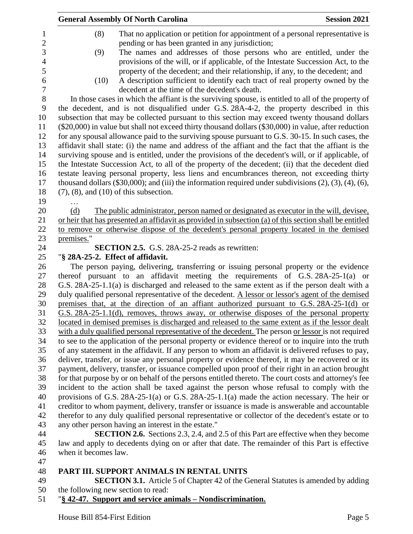|            |                      | <b>General Assembly Of North Carolina</b>                                                                                      | <b>Session 2021</b> |
|------------|----------------------|--------------------------------------------------------------------------------------------------------------------------------|---------------------|
|            | (8)                  | That no application or petition for appointment of a personal representative is                                                |                     |
|            |                      | pending or has been granted in any jurisdiction;                                                                               |                     |
|            | (9)                  | The names and addresses of those persons who are entitled, under the                                                           |                     |
|            |                      | provisions of the will, or if applicable, of the Intestate Succession Act, to the                                              |                     |
|            |                      | property of the decedent; and their relationship, if any, to the decedent; and                                                 |                     |
|            | (10)                 | A description sufficient to identify each tract of real property owned by the<br>decedent at the time of the decedent's death. |                     |
|            |                      | In those cases in which the affiant is the surviving spouse, is entitled to all of the property of                             |                     |
|            |                      | the decedent, and is not disqualified under G.S. 28A-4-2, the property described in this                                       |                     |
|            |                      | subsection that may be collected pursuant to this section may exceed twenty thousand dollars                                   |                     |
|            |                      | (\$20,000) in value but shall not exceed thirty thousand dollars (\$30,000) in value, after reduction                          |                     |
|            |                      | for any spousal allowance paid to the surviving spouse pursuant to G.S. 30-15. In such cases, the                              |                     |
|            |                      | affidavit shall state: (i) the name and address of the affiant and the fact that the affiant is the                            |                     |
|            |                      | surviving spouse and is entitled, under the provisions of the decedent's will, or if applicable, of                            |                     |
|            |                      | the Intestate Succession Act, to all of the property of the decedent; (ii) that the decedent died                              |                     |
|            |                      | testate leaving personal property, less liens and encumbrances thereon, not exceeding thirty                                   |                     |
|            |                      | thousand dollars $(\$30,000)$ ; and (iii) the information required under subdivisions $(2)$ , $(3)$ , $(4)$ , $(6)$ ,          |                     |
|            |                      | $(7)$ , $(8)$ , and $(10)$ of this subsection.                                                                                 |                     |
| .          |                      |                                                                                                                                |                     |
| (d)        |                      | The public administrator, person named or designated as executor in the will, devisee,                                         |                     |
|            |                      | or heir that has presented an affidavit as provided in subsection (a) of this section shall be entitled                        |                     |
|            |                      | to remove or otherwise dispose of the decedent's personal property located in the demised                                      |                     |
| premises." |                      |                                                                                                                                |                     |
|            |                      | <b>SECTION 2.5.</b> G.S. 28A-25-2 reads as rewritten:                                                                          |                     |
|            |                      | "§ 28A-25-2. Effect of affidavit.                                                                                              |                     |
|            |                      | The person paying, delivering, transferring or issuing personal property or the evidence                                       |                     |
|            |                      | thereof pursuant to an affidavit meeting the requirements of $G.S. 28A-25-1(a)$ or                                             |                     |
|            |                      | G.S. 28A-25-1.1(a) is discharged and released to the same extent as if the person dealt with a                                 |                     |
|            |                      | duly qualified personal representative of the decedent. A lessor or lessor's agent of the demised                              |                     |
|            |                      | premises that, at the direction of an affiant authorized pursuant to G.S. 28A-25-1(d) or                                       |                     |
|            |                      | G.S. 28A-25-1.1(d), removes, throws away, or otherwise disposes of the personal property                                       |                     |
|            |                      | located in demised premises is discharged and released to the same extent as if the lessor dealt                               |                     |
|            |                      | with a duly qualified personal representative of the decedent. The person or lessor is not required                            |                     |
|            |                      | to see to the application of the personal property or evidence thereof or to inquire into the truth                            |                     |
|            |                      | of any statement in the affidavit. If any person to whom an affidavit is delivered refuses to pay,                             |                     |
|            |                      | deliver, transfer, or issue any personal property or evidence thereof, it may be recovered or its                              |                     |
|            |                      | payment, delivery, transfer, or issuance compelled upon proof of their right in an action brought                              |                     |
|            |                      | for that purpose by or on behalf of the persons entitled thereto. The court costs and attorney's fee                           |                     |
|            |                      | incident to the action shall be taxed against the person whose refusal to comply with the                                      |                     |
|            |                      | provisions of G.S. 28A-25-1(a) or G.S. 28A-25-1.1(a) made the action necessary. The heir or                                    |                     |
|            |                      | creditor to whom payment, delivery, transfer or issuance is made is answerable and accountable                                 |                     |
|            |                      | therefor to any duly qualified personal representative or collector of the decedent's estate or to                             |                     |
|            |                      | any other person having an interest in the estate."                                                                            |                     |
|            |                      | <b>SECTION 2.6.</b> Sections 2.3, 2.4, and 2.5 of this Part are effective when they become                                     |                     |
|            |                      | law and apply to decedents dying on or after that date. The remainder of this Part is effective                                |                     |
|            | when it becomes law. |                                                                                                                                |                     |
|            |                      |                                                                                                                                |                     |
|            |                      | DT III. CHDDODT ANIMALI C IN DENTAL LINITIC                                                                                    |                     |

## 48 **PART III. SUPPORT ANIMALS IN RENTAL UNITS**<br>49 **SECTION 3.1.** Article 5 of Chapter 42 of the G

**SECTION 3.1.** Article 5 of Chapter 42 of the General Statutes is amended by adding the following new section to read:

"**§ 42-47. Support and service animals – Nondiscrimination.**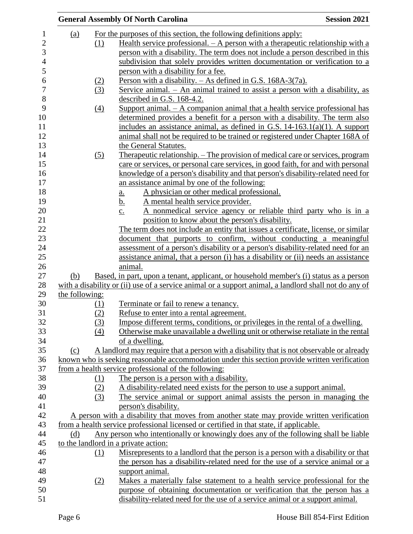|                |                  | <b>General Assembly Of North Carolina</b>                                                             | <b>Session 2021</b> |
|----------------|------------------|-------------------------------------------------------------------------------------------------------|---------------------|
| <u>(a)</u>     |                  | For the purposes of this section, the following definitions apply:                                    |                     |
|                | (1)              | Health service professional. $- A$ person with a therapeutic relationship with a                      |                     |
|                |                  | person with a disability. The term does not include a person described in this                        |                     |
|                |                  | subdivision that solely provides written documentation or verification to a                           |                     |
|                |                  | person with a disability for a fee.                                                                   |                     |
|                | (2)              | Person with a disability. $-$ As defined in G.S. 168A-3(7a).                                          |                     |
|                | (3)              | Service animal. $-$ An animal trained to assist a person with a disability, as                        |                     |
|                |                  | described in G.S. 168-4.2.                                                                            |                     |
|                | $\left(4\right)$ | Support animal. $- A$ companion animal that a health service professional has                         |                     |
|                |                  | determined provides a benefit for a person with a disability. The term also                           |                     |
|                |                  | includes an assistance animal, as defined in G.S. $14-163.1(a)(1)$ . A support                        |                     |
|                |                  | animal shall not be required to be trained or registered under Chapter 168A of                        |                     |
|                |                  | the General Statutes.                                                                                 |                     |
|                | (5)              | <u>Therapeutic relationship. – The provision of medical care or services, program</u>                 |                     |
|                |                  | care or services, or personal care services, in good faith, for and with personal                     |                     |
|                |                  | knowledge of a person's disability and that person's disability-related need for                      |                     |
|                |                  | an assistance animal by one of the following:                                                         |                     |
|                |                  | A physician or other medical professional.<br>$\underline{a}$ .                                       |                     |
|                |                  | A mental health service provider.<br><u>b.</u>                                                        |                     |
|                |                  | A nonmedical service agency or reliable third party who is in a<br>$\underline{c}$ .                  |                     |
|                |                  | position to know about the person's disability.                                                       |                     |
|                |                  | The term does not include an entity that issues a certificate, license, or similar                    |                     |
|                |                  | document that purports to confirm, without conducting a meaningful                                    |                     |
|                |                  | assessment of a person's disability or a person's disability-related need for an                      |                     |
|                |                  | assistance animal, that a person (i) has a disability or (ii) needs an assistance                     |                     |
|                |                  | animal.                                                                                               |                     |
| (b)            |                  | Based, in part, upon a tenant, applicant, or household member's (i) status as a person                |                     |
|                |                  | with a disability or (ii) use of a service animal or a support animal, a landlord shall not do any of |                     |
| the following: |                  |                                                                                                       |                     |
|                | (1)              | Terminate or fail to renew a tenancy.                                                                 |                     |
|                | (2)              | Refuse to enter into a rental agreement.                                                              |                     |
|                | (3)              | Impose different terms, conditions, or privileges in the rental of a dwelling.                        |                     |
|                | (4)              | Otherwise make unavailable a dwelling unit or otherwise retaliate in the rental                       |                     |
|                |                  | of a dwelling.                                                                                        |                     |
| (c)            |                  | A landlord may require that a person with a disability that is not observable or already              |                     |
|                |                  | known who is seeking reasonable accommodation under this section provide written verification         |                     |
|                |                  | from a health service professional of the following:                                                  |                     |
|                | (1)              | The person is a person with a disability.                                                             |                     |
|                | (2)              | A disability-related need exists for the person to use a support animal.                              |                     |
|                | (3)              | The service animal or support animal assists the person in managing the                               |                     |
|                |                  | person's disability.                                                                                  |                     |
|                |                  | A person with a disability that moves from another state may provide written verification             |                     |
|                |                  | from a health service professional licensed or certified in that state, if applicable.                |                     |
| (d)            |                  | Any person who intentionally or knowingly does any of the following shall be liable                   |                     |
|                |                  | to the landlord in a private action:                                                                  |                     |
|                | (1)              | Misrepresents to a landlord that the person is a person with a disability or that                     |                     |
|                |                  | the person has a disability-related need for the use of a service animal or a                         |                     |
|                |                  | support animal.                                                                                       |                     |
|                | (2)              | Makes a materially false statement to a health service professional for the                           |                     |
|                |                  | purpose of obtaining documentation or verification that the person has a                              |                     |
|                |                  | disability-related need for the use of a service animal or a support animal.                          |                     |